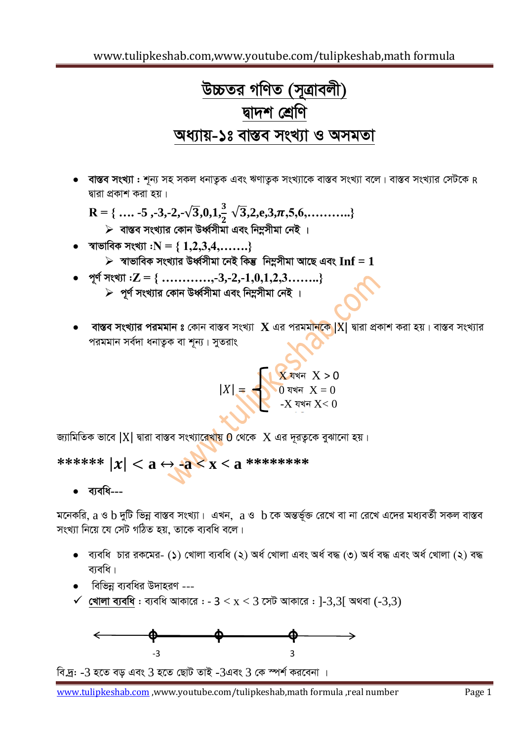# *D"PZi MwYZ (m~Îvejx) Øv`k †kÖwY*  <u>অধ্যায়-১ঃ বাস্তব সংখ্যা ও অসমতা</u>

<u>বাস্তব সংখ্যা : শূন্য সহ সকল ধনাতুক এবং ঋণাতুক সংখ্যাকে বাস্তব সংখ্যা বলে। বাস্তব সংখ্যার সেটকে  ${\sf R}$ </u> *Øviv cÖKvk Kiv nq|*

R = { … -5, -3, -2, -
$$
\sqrt{3}
$$
,0,1,  $\frac{3}{2}$  √3,2, e,3,π,5,6,...........}  
≽ वाखव सूथ्गात्र कान उर्ध्वসীমা এবং নিহ্লসীমা নেই ।

ক্ষাভাবিক সংখ্যা : $N = \{ 1,2,3,4,...... \}$ 

 $\triangleright$  স্বাভাবিক সংখ্যার উর্ধ্বসীমা নেই কিন্তু নিম্নসীমা আছে এবং  ${\bf Inf} = {\bf 1}$ 

- *c~Y© msL¨v :***Z = { …………,-3,-2,-1,0,1,2,3……..}**
	- $>$  পূর্ণ সংখ্যার কোন উর্ধ্বসীমা এবং নিম্নসীমা নেই ।
- <mark>বাস্তব সংখ্যার পরমমান ঃ</mark> কোন বাস্তব সংখ্যা **X** এর পরমমা<mark>নকে |</mark>X| দ্বারা প্রকাশ করা হয় । বাস্তব সংখ্যার *প*রমমান সর্বদা ধনাতুক বা শূন্য। সুতরাং

$$
|X| = \begin{cases} \n\sqrt{X} \text{ and } X > 0 \\ \n0 \text{ and } X = 0 \\ \n-X \text{ and } X < 0 \n\end{cases}
$$

*G* for an evidary point of the state in the state of  $X$  and  $\overline{X}$  and  $\overline{X}$  and  $\overline{X}$  and  $\overline{X}$  and  $\overline{X}$  and  $\overline{X}$  and  $\overline{X}$  and  $\overline{X}$  and  $\overline{X}$  and  $\overline{X}$  and  $\overline{X}$  and  $\overline{X}$  and  $\$ 

 $x^{*****} |x| < a \leftrightarrow -a < x < a$ \*\*\*\*\*\*\*\*\*

ব্যবধি---

 $\frac{1}{2}$ মনেকরি,  $a$  ও  $b$  দুটি ভিন্ন বাস্তব সংখ্যা। এখন,  $\overline{a}$  ও  $\overline{b}$  কে অন্তর্ভূক্ত রেখে বা না রেখে এদের মধ্যবর্তী সকল বাস্তব সংখ্যা নিয়ে যে সেট গঠিত হয়, তাকে ব্যবধি বলে।

- ব্যবধি চার রকমের- (১) খোলা ব্যবধি (২) অর্ধ খোলা এবং অর্ধ বদ্ধ (৩) অর্ধ বদ্ধ এবং অর্ধ খোলা (২) বদ্ধ <mark>ব্যব</mark>ধি।
- $\bullet$  বিভিন্ন ব্যবধির উদাহরণ ---
- $\checkmark$  **খোলা ব্যবধি** : ব্যবধি আকারে : − 3 < x < 3 সেট আকারে : ]-3,3[ অথবা (-3,3)



*বি.দ্ৰ: -3 হতে বড় এবং 3 হতে ছোট তাই -3এবং 3 কে স্পৰ্শ করবেনা ।*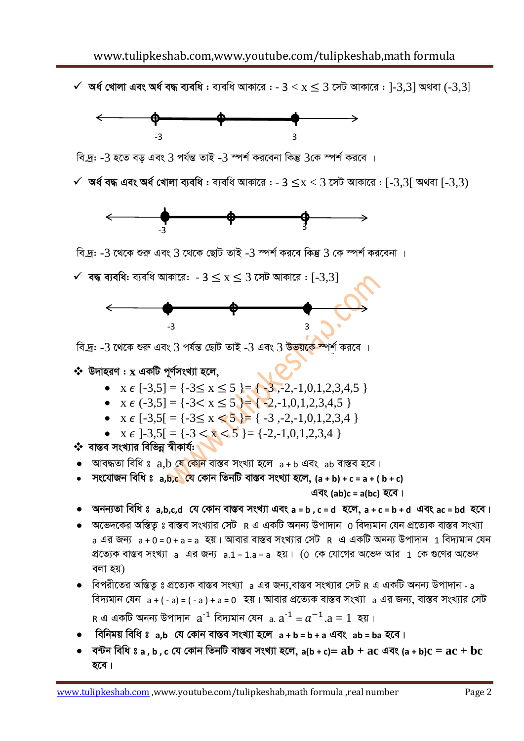$\checkmark$  অর্ধ খোলা এবং অর্ধ বদ্ধ ব্যবধি : ব্যবধি আকারে : -  $3 < x \leq 3$  সেট আকারে : ]-3,3] অথবা (-3,3]



বি.দ: -3 হতে বড এবং 3 পর্যন্ত তাই -3 স্পর্শ করবেনা কিন্তু 3কে স্পর্শ করবে ।

 $\checkmark$  অৰ্ধ বদ্ধ এবং অৰ্ধ খোলা ব্যবধি: ব্যবধি আকারে: - 3  $\leq$ x  $<$  3 সেট আকারে: [-3.3] অথবা [-3.3)



বি.দ্র: -3 থেকে শুরু এবং 3 থেকে ছোট তাই -3 স্পর্শ করবে কিন্তু 3 কে স্পর্শ করবেনা ।

 $\checkmark$  বদ্ধ ব্যবধি: ব্যবধি আকারে: - 3  $\leq$  x  $\leq$  3 সেট আকারে : [-3,3]



বি.দ্র: -3 থেকে শুরু এবং 3 পর্যন্ত ছোট তাই -3 এবং 3 উ<mark>ভয়কে স্</mark>পর্শ করবে ।

#### $\boldsymbol{\dot{\cdot}}$  উদাহরণ :  $\mathbf x$  একটি পূর্ণসংখ্যা হলে,

- $x \in [-3,5] = \{-3 \le x \le 5\} = \{-3, -2, -1, 0, 1, 2, 3, 4, 5\}$
- $X \in (-3,5] = \{-3 < x \le 5\} = \{-2,-1,0,1,2,3,4,5\}$
- $x \in [-3.5] = \{-3 \le x \le 5\} = \{-3, -2, -1, 0, 1, 2, 3, 4\}$
- $x \in [-3, 5] = \{-3 \le x \le 5\} = \{-2, -1, 0, 1, 2, 3, 4\}$

❖ বাস্তব সংখ্যার বিভিন্ন স্বীকার্য: ।

- আবদ্ধতা বিধি ঃ a,b যে কোন বাস্তব সংখ্যা হলে a + b এবং ab বাস্তব হবে।
- সংযোজন বিধি ঃ a,b,c যে কোন তিনটি বাস্তব সংখ্যা হলে, (a + b) + c = a + (b + c)

এবং (ab)c = a(bc) হবে।

- অনন্যতা বিধি ঃ a,b,c,d যে কোন বাস্তব সংখ্যা এবং a = b, c = d হলে, a + c = b + d এবং ac = bd হবে।
- $\bullet$  অভেদকের অস্তিত ঃ বাস্তব সংখ্যার সেট R এ একটি অনন্য উপাদান 0 বিদ্যমান যেন প্রত্যেক বাস্তব সংখ্যা a এর জন্য  $a + 0 = 0 + a = a$  হয়। আবার বাস্তব সংখ্যার সেট R এ একটি অনন্য উপাদান 1 বিদ্যমান যেন প্রত্যেক বাস্তব সংখ্যা a এর জন্য a.1 = 1.a = a হয়। (0 কে যোগের অভেদ আর 1 কে গুণের অভেদ বলা হয়)
- $\bullet$  বিপরীতের অস্তিত ঃ প্রত্যেক বাস্তব সংখ্যা a এর জন্য বাস্তব সংখ্যার সেট R এ একটি অনন্য উপাদান a বিদ্যমান যেন a + ( - a) = ( - a ) + a = 0 হয়। আবার প্রত্যেক বাস্তব সংখ্যা a এর জন্য, বাস্তব সংখ্যার সেট R এ একটি অনন্য উপাদান  $a^{-1}$  বিদ্যমান যেন  $a.a^{-1} = a^{-1}.a = 1$  হয়।
- বিনিময় বিধি ঃ a.b যে কোন বাস্তব সংখ্যা হলে  $a + b = b + a$  এবং ab = ba হবে।
- বন্টন বিধি ঃ a , b , c যে কোন তিনটি বাস্তব সংখ্যা হলে, a(b + c)=  $ab + ac$  এবং (a + b) $c = ac + bc$ হবে।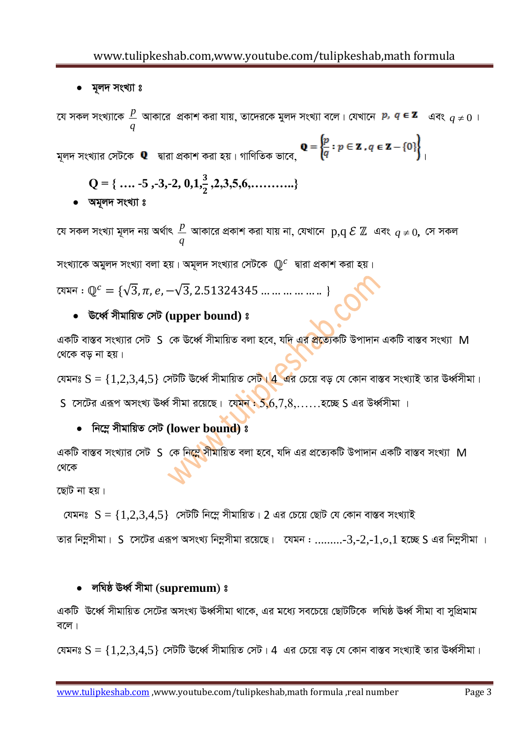• মূলদ সংখ্যা ঃ

*‡h mKj msL¨v‡K q*  $\frac{p}{\lambda}$  আকারে প্রকাশ করা যায়, তাদেরকে মুলদ সংখ্যা বলে। যেখানে *p, q* **∈ z** এবং <sub>q ≠</sub>  $0$  ।

মূলদ সংখ্যার সেটকে **Q** দ্বারা প্রকাশ করা হয় । গাণিতিক ভাবে,  $\left\{ \frac{p}{q} : p \in \mathbf{Z} \text{ . } q \in \mathbf{Z} - \{0\} \right\}$ ।

$$
Q = \{ \ldots .5, -3, -2, 0, 1, \frac{3}{2}, 2, 3, 5, 6, \ldots \}
$$

**•** অমূলদ সংখ্যা ঃ

*যে সকল সংখ্যা মূলদ নয় অৰ্থাৎ q*  $\frac{p}{q}$  আকারে প্রকাশ করা যায় না, যেখানে  $\, {\bf p}, {\bf q} \mathrel{\mathcal{E}} \mathbb{Z} \,$  এবং  $\, q \neq 0, \,$  সে সকল

সংখ্যাকে অমুলদ সংখ্যা বলা হয়। অমূলদ সংখ্যার সেটকে  $\mathbb{Q}^{\textit{c}}$  দ্বারা প্রকাশ করা হয়।

 $\alpha$ য়মন :  $\mathbb{Q}^c = \{\sqrt{3}, \pi, e, -\sqrt{3}, 2.51324345 \dots \dots \dots \dots \}$ 

## *E‡aŸ© mxgvwqZ †mU* **(upper bound)** *t*

একটি বাস্তব সংখ্যার সেট S কে ঊর্ধ্বে সীমায়িত বলা হবে, যদি এর প্রত্যেকটি উপাদান একটি বাস্তব সংখ্যা M *ধেকে বড না হয়।* 

*(*যমনঃ  $S = \{1,2,3,4,5\}$  সেটটি ঊর্ধ্বে সীমায়িত সেট<mark>। 4 এ</mark>র চেয়ে বড় যে কোন বাস্তব সংখ্যাই তার ঊর্ধ্বসীমা।

S *‡m‡Ui Giƒc AmsL¨ EaŸ© mxgv i‡q‡Q| ‡hgb :* 5,6,7,8,……*n‡"Q* S *Gi Da٩mxgv |*

## $\bullet$  নিম্নে সীমায়িত সেট (lower bound) ঃ

একটি বাস্তব সংখ্যার সেট S কে নি<mark>স্তে সীমা</mark>য়িত বলা হবে, যদি এর প্রত্যেকটি উপাদান একটি বাস্তব সংখ্যা M *†\_‡K* 

**হোট না হয়।** 

 *†hgbt* S = {1,2,3,4,5} *†mUwU wb‡¤œ mxgvwqZ|* 2 *Gi †P‡q †QvU †h †Kvb ev¯Íe msL¨vB* 

 $Z$ তার নিম্নসীমা। S সেটের এরূপ অসংখ্য নিম্নসীমা রয়েছে। যেমন : .........-3,-2,-1,0,1 হচ্ছে S এর নিম্নসীমা ।

# *jwNô EaŸ© mxgv (***supremum***) t*

একটি ঊর্ধ্বে সীমায়িত সেটের অসংখ্য ঊর্ধ্বসীমা থাকে, এর মধ্যে সবচেয়ে ছোটটিকে লঘিষ্ঠ ঊর্ধ্ব সীমা বা সুপ্রিমাম *e‡j|*

 $f$ বেমনঃ  $\mathrm{S} = \{1,2,3,4,5\}$  সেটটি ঊর্ধ্বে সীমায়িত সেট। 4 এর চেয়ে বড় যে কোন বাস্তব সংখ্যাই তার উর্ধ্বসীমা।